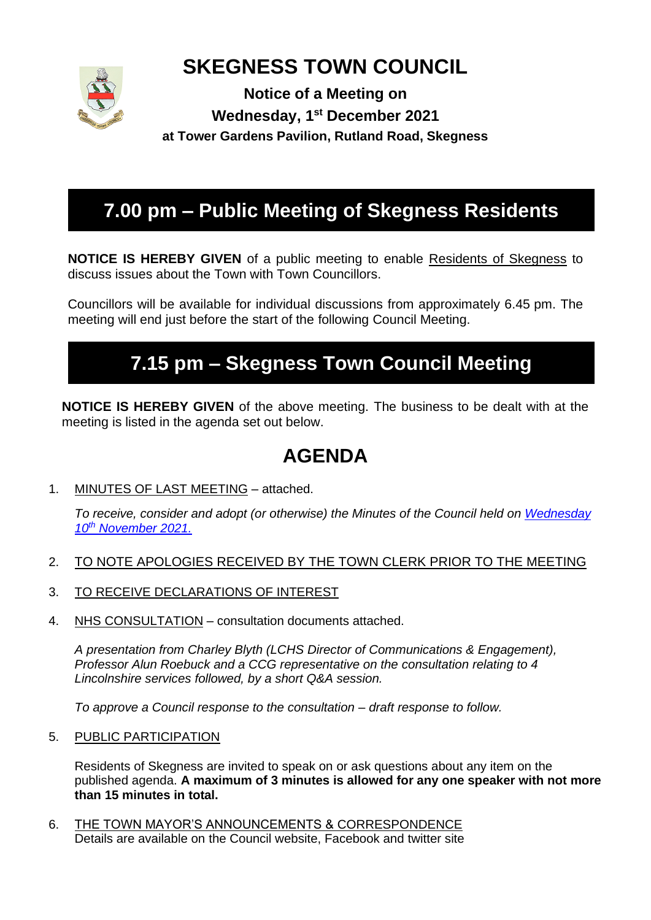

# **SKEGNESS TOWN COUNCIL**

**Notice of a Meeting on Wednesday, 1 st December 2021 at Tower Gardens Pavilion, Rutland Road, Skegness**

# **7.00 pm – Public Meeting of Skegness Residents**

**NOTICE IS HEREBY GIVEN** of a public meeting to enable Residents of Skegness to discuss issues about the Town with Town Councillors.

Councillors will be available for individual discussions from approximately 6.45 pm. The meeting will end just before the start of the following Council Meeting.

# **7.15 pm – Skegness Town Council Meeting**

**NOTICE IS HEREBY GIVEN** of the above meeting. The business to be dealt with at the meeting is listed in the agenda set out below.

# **AGENDA**

1. MINUTES OF LAST MEETING – attached.

*To receive, consider and adopt (or otherwise) the Minutes of the Council held on [Wednesday](https://www.skegness.gov.uk/uploads/minsdraft-council-2021-11-10.pdf)  10th [November 2021.](https://www.skegness.gov.uk/uploads/minsdraft-council-2021-11-10.pdf)*

- 2. TO NOTE APOLOGIES RECEIVED BY THE TOWN CLERK PRIOR TO THE MEETING
- 3. TO RECEIVE DECLARATIONS OF INTEREST
- 4. NHS CONSULTATION consultation documents attached.

*A presentation from Charley Blyth (LCHS Director of Communications & Engagement), Professor Alun Roebuck and a CCG representative on the consultation relating to 4 Lincolnshire services followed, by a short Q&A session.*

*To approve a Council response to the consultation – draft response to follow.*

5. PUBLIC PARTICIPATION

Residents of Skegness are invited to speak on or ask questions about any item on the published agenda. **A maximum of 3 minutes is allowed for any one speaker with not more than 15 minutes in total.**

6. THE TOWN MAYOR'S ANNOUNCEMENTS & CORRESPONDENCE Details are available on the Council website, Facebook and twitter site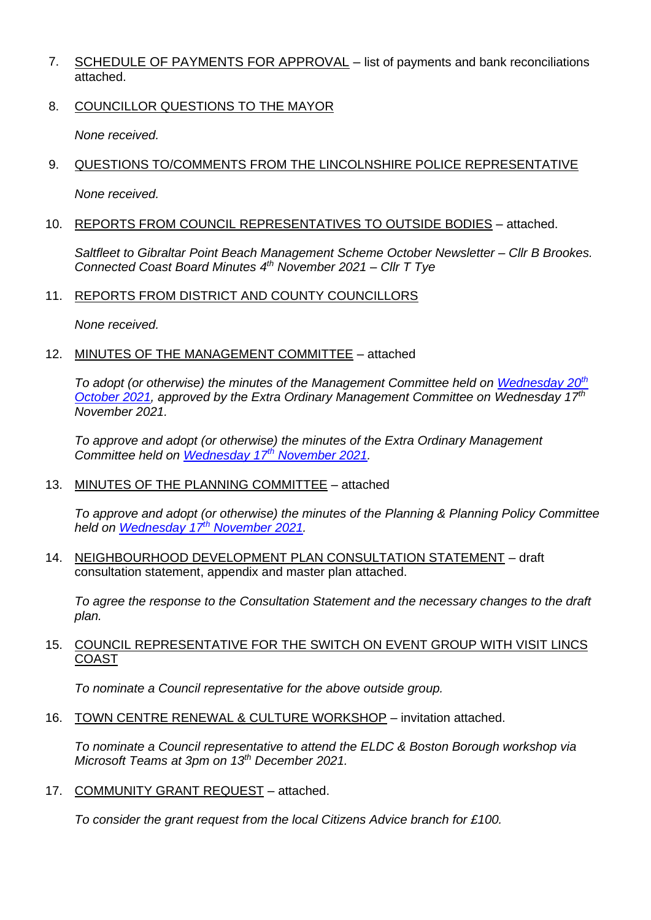- 7. SCHEDULE OF PAYMENTS FOR APPROVAL list of payments and bank reconciliations attached.
- 8. COUNCILLOR QUESTIONS TO THE MAYOR

*None received.*

9. QUESTIONS TO/COMMENTS FROM THE LINCOLNSHIRE POLICE REPRESENTATIVE

*None received.*

10. REPORTS FROM COUNCIL REPRESENTATIVES TO OUTSIDE BODIES – attached.

*Saltfleet to Gibraltar Point Beach Management Scheme October Newsletter – Cllr B Brookes. Connected Coast Board Minutes 4 th November 2021 – Cllr T Tye* 

11. REPORTS FROM DISTRICT AND COUNTY COUNCILLORS

*None received.*

### 12. MINUTES OF THE MANAGEMENT COMMITTEE – attached

*To adopt (or otherwise) the minutes of the Management Committee held on [Wednesday 20](https://www.skegness.gov.uk/uploads/minutesdraft-management-2021-10-20.pdf)th [October 2021,](https://www.skegness.gov.uk/uploads/minutesdraft-management-2021-10-20.pdf) approved by the Extra Ordinary Management Committee on Wednesday 17 th November 2021.*

*To approve and adopt (or otherwise) the minutes of the Extra Ordinary Management Committee held on [Wednesday 17](https://www.skegness.gov.uk/uploads/minutesdraft-management-2021-11-17.pdf)th November 2021.*

13. MINUTES OF THE PLANNING COMMITTEE – attached

*To approve and adopt (or otherwise) the minutes of the Planning & Planning Policy Committee held on [Wednesday 17](https://www.skegness.gov.uk/uploads/minsdraft-planning-pp-2021-11-17.pdf)th November 2021.*

14. NEIGHBOURHOOD DEVELOPMENT PLAN CONSULTATION STATEMENT – draft consultation statement, appendix and master plan attached.

*To agree the response to the Consultation Statement and the necessary changes to the draft plan.*

### 15. COUNCIL REPRESENTATIVE FOR THE SWITCH ON EVENT GROUP WITH VISIT LINCS COAST

*To nominate a Council representative for the above outside group.*

16. TOWN CENTRE RENEWAL & CULTURE WORKSHOP – invitation attached.

*To nominate a Council representative to attend the ELDC & Boston Borough workshop via Microsoft Teams at 3pm on 13th December 2021.*

17. COMMUNITY GRANT REQUEST – attached.

*To consider the grant request from the local Citizens Advice branch for £100.*